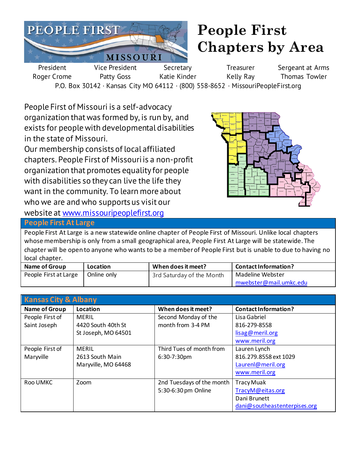

## **People First Chapters by Area**

President Roger Crome Vice President Patty Goss **Secretary** Katie Kinder **Treasurer** Kelly Ray Sergeant at Arms Thomas Towler P.O. Box 30142 · Kansas City MO 64112 · (800) 558-8652 · MissouriPeopleFirst.org

People First of Missouri is a self-advocacy organization that was formed by, is run by, and exists for people with developmental disabilities in the state of Missouri.

Our membership consists of local affiliated chapters. People First of Missouri is a non-profit organization that promotes equality for people with disabilities so they can live the life they want in the community. To learn more about who we are and who supports us visit our website at [www.missouripeoplefirst.org](http://www.missouripeoplefirst.org/)



**People First At Large** 

People First At Large is a new statewide online chapter of People First of Missouri. Unlike local chapters whose membership is only from a small geographical area, People First At Large will be statewide. The chapter will be open to anyone who wants to be a member of People First but is unable to due to having no local chapter.

| <b>Name of Group</b>  | Location    | When does it meet?        | Contact Information?   |
|-----------------------|-------------|---------------------------|------------------------|
| People First at Large | Online only | 3rd Saturday of the Month | Madeline Webster       |
|                       |             |                           | mwebster@mail.umkc.edu |

| <b>Kansas City &amp; Albany</b> |                     |                           |                              |
|---------------------------------|---------------------|---------------------------|------------------------------|
| <b>Name of Group</b>            | Location            | When does it meet?        | <b>Contact Information?</b>  |
| People First of                 | <b>MERIL</b>        | Second Monday of the      | Lisa Gabriel                 |
| Saint Joseph                    | 4420 South 40th St  | month from 3-4 PM         | 816-279-8558                 |
|                                 | St Joseph, MO 64501 |                           | lisag@meril.org              |
|                                 |                     |                           | www.meril.org                |
| People First of                 | <b>MERIL</b>        | Third Tues of month from  | Lauren Lynch                 |
| Maryville                       | 2613 South Main     | 6:30-7:30pm               | 816.279.8558 ext 1029        |
|                                 | Maryville, MO 64468 |                           | Laurenl@meril.org            |
|                                 |                     |                           | www.meril.org                |
| Roo UMKC                        | Zoom                | 2nd Tuesdays of the month | <b>Tracy Muak</b>            |
|                                 |                     | 5:30-6:30 pm Online       | TracyM@eitas.org             |
|                                 |                     |                           | Dani Brunett                 |
|                                 |                     |                           | dani@southeastenterpises.org |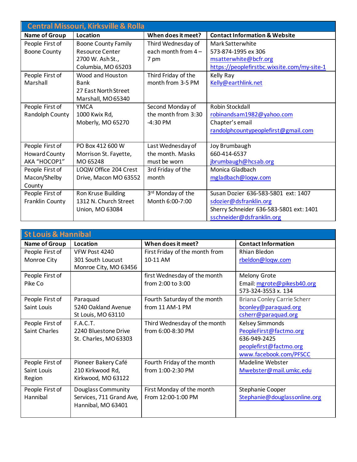| <b>Central Missouri, Kirksville &amp; Rolla</b> |                            |                     |                                             |
|-------------------------------------------------|----------------------------|---------------------|---------------------------------------------|
| <b>Name of Group</b>                            | Location                   | When does it meet?  | <b>Contact Information &amp; Website</b>    |
| People First of                                 | <b>Boone County Family</b> | Third Wednesday of  | Mark Satterwhite                            |
| <b>Boone County</b>                             | <b>Resource Center</b>     | each month from 4-  | 573-874-1995 ex 306                         |
|                                                 | 2700 W. Ash St.,           | 7 pm                | msatterwhite@bcfr.org                       |
|                                                 | Columbia, MO 65203         |                     | https://peoplefirstbc.wixsite.com/my-site-1 |
| People First of                                 | Wood and Houston           | Third Friday of the | Kelly Ray                                   |
| Marshall                                        | Bank                       | month from 3-5 PM   | Kelly@earthlink.net                         |
|                                                 | 27 East North Street       |                     |                                             |
|                                                 | Marshall, MO 65340         |                     |                                             |
| People First of                                 | <b>YMCA</b>                | Second Monday of    | Robin Stockdall                             |
| Randolph County                                 | 1000 Kwix Rd,              | the month from 3:30 | robinandsam1982@yahoo.com                   |
|                                                 | Moberly, MO 65270          | $-4:30$ PM          | Chapter's email                             |
|                                                 |                            |                     | randolphcountypeoplefirst@gmail.com         |
|                                                 |                            |                     |                                             |
| People First of                                 | PO Box 412 600 W           | Last Wednesday of   | Joy Brumbaugh                               |
| Howard County                                   | Morrison St. Fayette,      | the month. Masks    | 660-414-6537                                |
| AKA "HOCOP1"                                    | MO 65248                   | must be worn        | jbrumbaugh@hcsab.org                        |
| People First of                                 | LOQW Office 204 Crest      | 3rd Friday of the   | Monica Gladbach                             |
| Macon/Shelby                                    | Drive, Macon MO 63552      | month               | mgladbach@loqw.com                          |
| County                                          |                            |                     |                                             |
| People First of                                 | Ron Kruse Building         | 3rd Monday of the   | Susan Dozier 636-583-5801 ext: 1407         |
| Franklin County                                 | 1312 N. Church Street      | Month 6:00-7:00     | sdozier@dsfranklin.org                      |
|                                                 | Union, MO 63084            |                     | Sherry Schneider 636-583-5801 ext: 1401     |
|                                                 |                            |                     | sschneider@dsfranklin.org                   |

| <b>St Louis &amp; Hannibal</b> |                          |                                |                              |
|--------------------------------|--------------------------|--------------------------------|------------------------------|
| Name of Group                  | Location                 | When does it meet?             | <b>Contact Information</b>   |
| People First of                | VFW Post 4240            | First Friday of the month from | Rhian Bledon                 |
| Monroe City                    | 301 South Loucust        | 10-11 AM                       | rbeldon@loqw.com             |
|                                | Monroe City, MO 63456    |                                |                              |
| People First of                |                          | first Wednesday of the month   | <b>Melony Grote</b>          |
| Pike Co                        |                          | from 2:00 to 3:00              | Email: mgrote@pikesb40.org   |
|                                |                          |                                | 573-324-3553 x. 134          |
| People First of                | Paraquad                 | Fourth Saturday of the month   | Briana Conley Carrie Scherr  |
| Saint Louis                    | 5240 Oakland Avenue      | from 11 AM-1 PM                | bconley@paraquad.org         |
|                                | St Louis, MO 63110       |                                | csherr@paraquad.org          |
| People First of                | <b>F.A.C.T.</b>          | Third Wednesday of the month   | Kelsey Simmonds              |
| Saint Charles                  | 2240 Bluestone Drive     | from 6:00-8:30 PM              | PeopleFirst@factmo.org       |
|                                | St. Charles, MO 63303    |                                | 636-949-2425                 |
|                                |                          |                                | peoplefirst@factmo.org       |
|                                |                          |                                | www.facebook.com/PFSCC       |
| People First of                | Pioneer Bakery Café      | Fourth Friday of the month     | Madeline Webster             |
| Saint Louis                    | 210 Kirkwood Rd,         | from 1:00-2:30 PM              | Mwebster@mail.umkc.edu       |
| Region                         | Kirkwood, MO 63122       |                                |                              |
| People First of                | Douglass Community       | First Monday of the month      | Stephanie Cooper             |
| Hannibal                       | Services, 711 Grand Ave, | From 12:00-1:00 PM             | Stephanie@douglassonline.org |
|                                | Hannibal, MO 63401       |                                |                              |
|                                |                          |                                |                              |